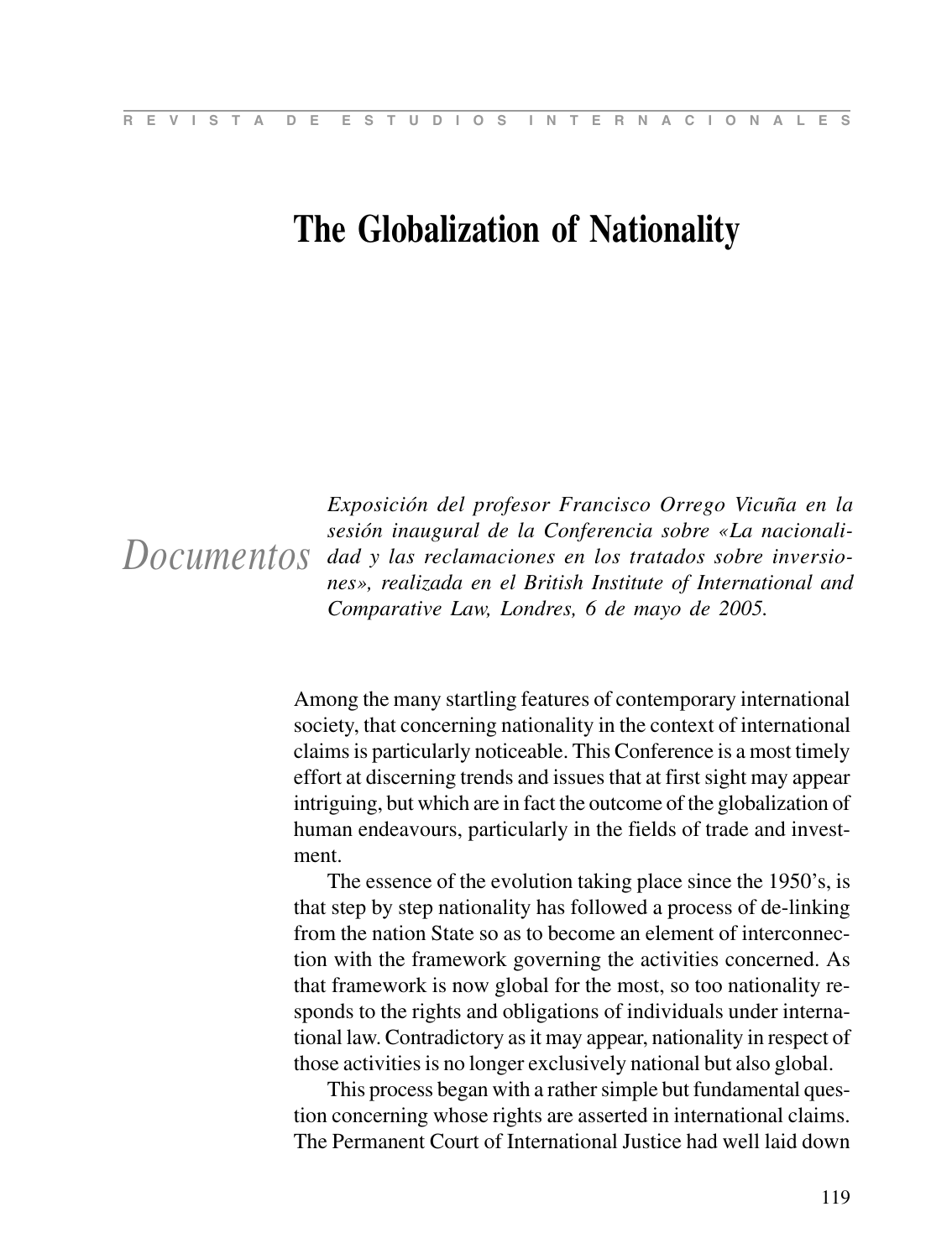## **The Globalization of Nationality**

*Documentos*

*Exposición del profesor Francisco Orrego Vicuña en la sesión inaugural de la Conferencia sobre «La nacionalidad y las reclamaciones en los tratados sobre inversiones», realizada en el British Institute of International and Comparative Law, Londres, 6 de mayo de 2005.*

Among the many startling features of contemporary international society, that concerning nationality in the context of international claims is particularly noticeable. This Conference is a most timely effort at discerning trends and issues that at first sight may appear intriguing, but which are in fact the outcome of the globalization of human endeavours, particularly in the fields of trade and investment.

The essence of the evolution taking place since the 1950's, is that step by step nationality has followed a process of de-linking from the nation State so as to become an element of interconnection with the framework governing the activities concerned. As that framework is now global for the most, so too nationality responds to the rights and obligations of individuals under international law. Contradictory as it may appear, nationality in respect of those activities is no longer exclusively national but also global.

This process began with a rather simple but fundamental question concerning whose rights are asserted in international claims. The Permanent Court of International Justice had well laid down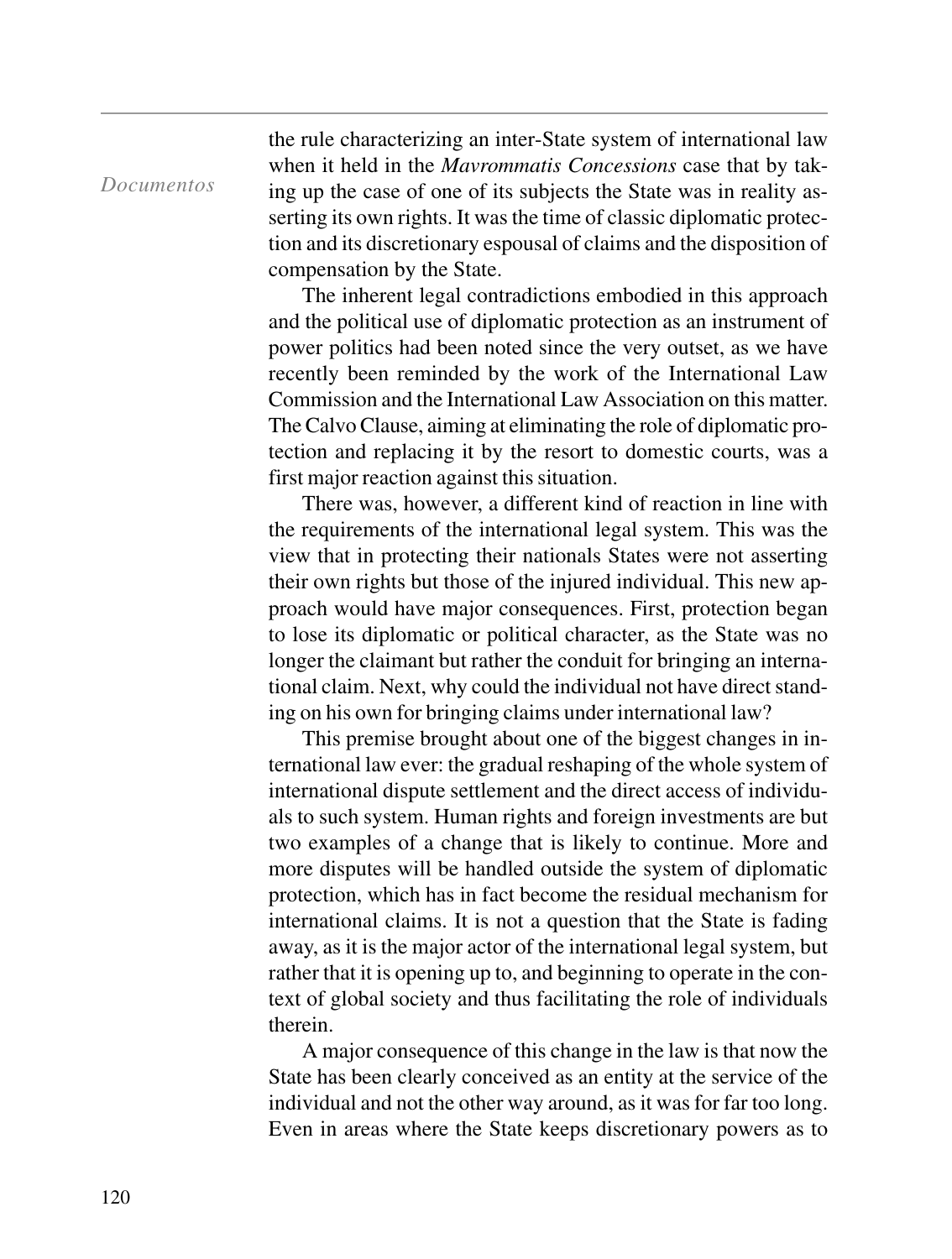## *Documentos*

the rule characterizing an inter-State system of international law when it held in the *Mavrommatis Concessions* case that by taking up the case of one of its subjects the State was in reality asserting its own rights. It was the time of classic diplomatic protection and its discretionary espousal of claims and the disposition of compensation by the State.

The inherent legal contradictions embodied in this approach and the political use of diplomatic protection as an instrument of power politics had been noted since the very outset, as we have recently been reminded by the work of the International Law Commission and the International Law Association on this matter. The Calvo Clause, aiming at eliminating the role of diplomatic protection and replacing it by the resort to domestic courts, was a first major reaction against this situation.

There was, however, a different kind of reaction in line with the requirements of the international legal system. This was the view that in protecting their nationals States were not asserting their own rights but those of the injured individual. This new approach would have major consequences. First, protection began to lose its diplomatic or political character, as the State was no longer the claimant but rather the conduit for bringing an international claim. Next, why could the individual not have direct standing on his own for bringing claims under international law?

This premise brought about one of the biggest changes in international law ever: the gradual reshaping of the whole system of international dispute settlement and the direct access of individuals to such system. Human rights and foreign investments are but two examples of a change that is likely to continue. More and more disputes will be handled outside the system of diplomatic protection, which has in fact become the residual mechanism for international claims. It is not a question that the State is fading away, as it is the major actor of the international legal system, but rather that it is opening up to, and beginning to operate in the context of global society and thus facilitating the role of individuals therein.

A major consequence of this change in the law is that now the State has been clearly conceived as an entity at the service of the individual and not the other way around, as it was for far too long. Even in areas where the State keeps discretionary powers as to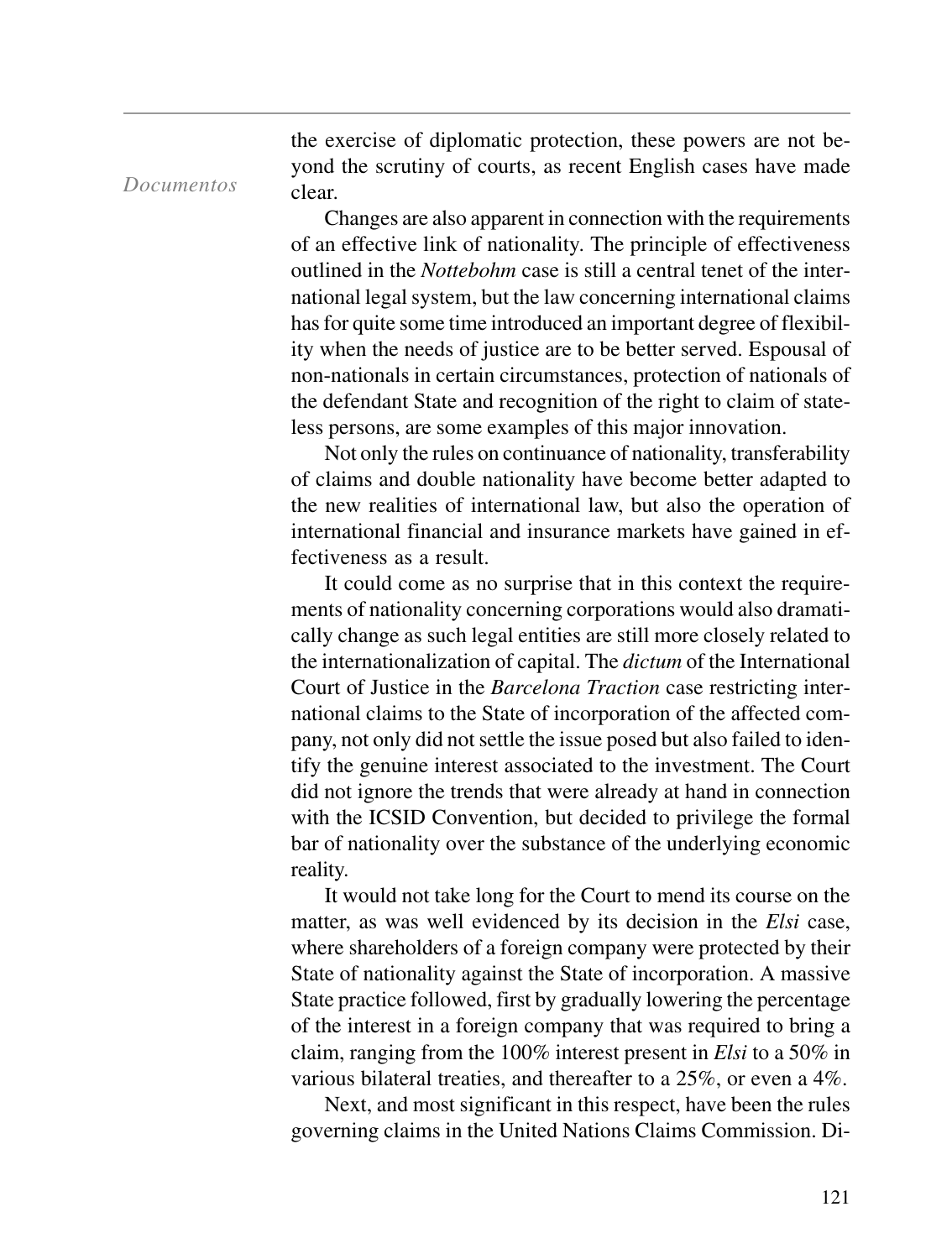the exercise of diplomatic protection, these powers are not beyond the scrutiny of courts, as recent English cases have made clear.

*Documentos*

Changes are also apparent in connection with the requirements of an effective link of nationality. The principle of effectiveness outlined in the *Nottebohm* case is still a central tenet of the international legal system, but the law concerning international claims has for quite some time introduced an important degree of flexibility when the needs of justice are to be better served. Espousal of non-nationals in certain circumstances, protection of nationals of the defendant State and recognition of the right to claim of stateless persons, are some examples of this major innovation.

Not only the rules on continuance of nationality, transferability of claims and double nationality have become better adapted to the new realities of international law, but also the operation of international financial and insurance markets have gained in effectiveness as a result.

It could come as no surprise that in this context the requirements of nationality concerning corporations would also dramatically change as such legal entities are still more closely related to the internationalization of capital. The *dictum* of the International Court of Justice in the *Barcelona Traction* case restricting international claims to the State of incorporation of the affected company, not only did not settle the issue posed but also failed to identify the genuine interest associated to the investment. The Court did not ignore the trends that were already at hand in connection with the ICSID Convention, but decided to privilege the formal bar of nationality over the substance of the underlying economic reality.

It would not take long for the Court to mend its course on the matter, as was well evidenced by its decision in the *Elsi* case, where shareholders of a foreign company were protected by their State of nationality against the State of incorporation. A massive State practice followed, first by gradually lowering the percentage of the interest in a foreign company that was required to bring a claim, ranging from the 100% interest present in *Elsi* to a 50% in various bilateral treaties, and thereafter to a 25%, or even a 4%.

Next, and most significant in this respect, have been the rules governing claims in the United Nations Claims Commission. Di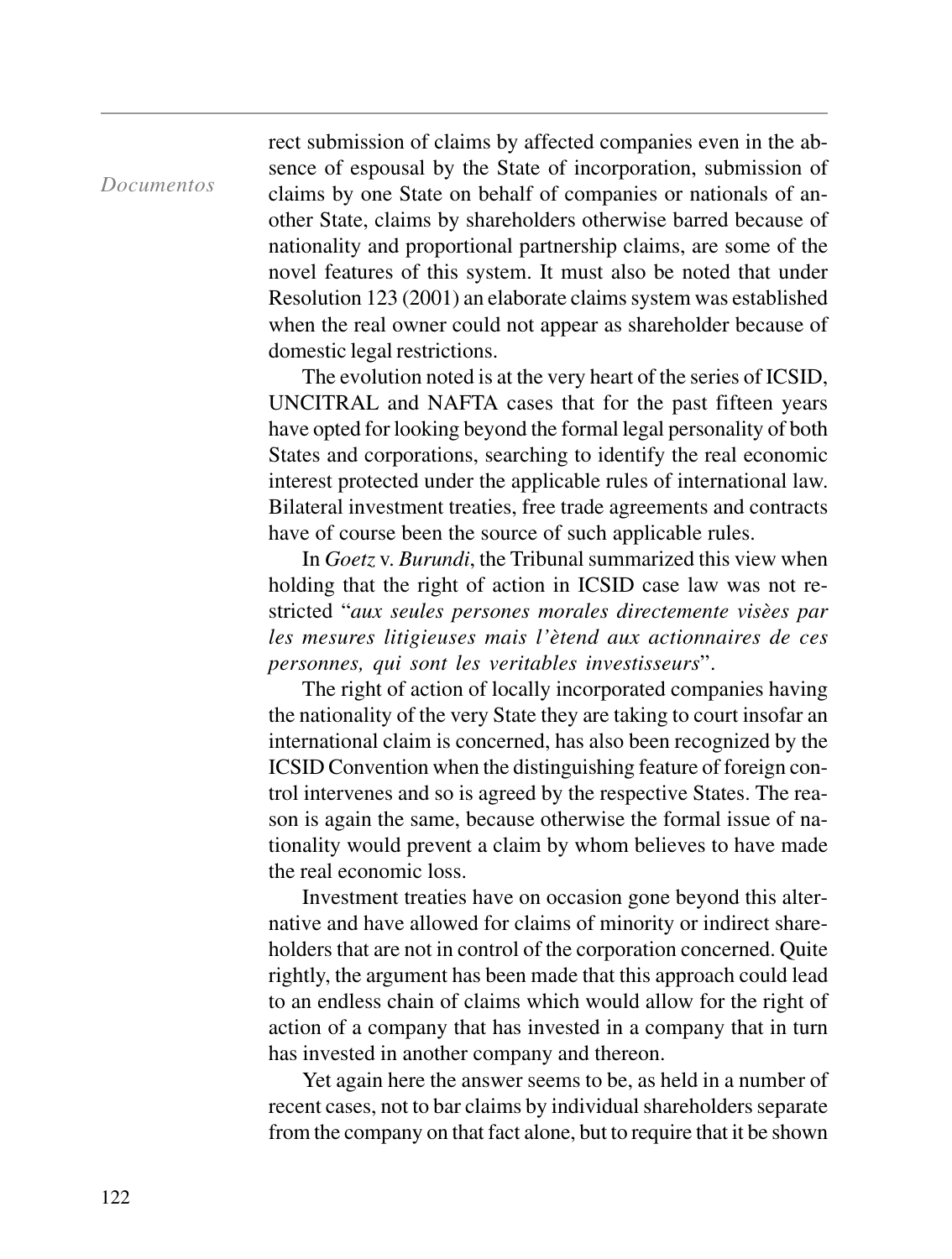*Documentos*

rect submission of claims by affected companies even in the absence of espousal by the State of incorporation, submission of claims by one State on behalf of companies or nationals of another State, claims by shareholders otherwise barred because of nationality and proportional partnership claims, are some of the novel features of this system. It must also be noted that under Resolution 123 (2001) an elaborate claims system was established when the real owner could not appear as shareholder because of domestic legal restrictions.

The evolution noted is at the very heart of the series of ICSID, UNCITRAL and NAFTA cases that for the past fifteen years have opted for looking beyond the formal legal personality of both States and corporations, searching to identify the real economic interest protected under the applicable rules of international law. Bilateral investment treaties, free trade agreements and contracts have of course been the source of such applicable rules.

In *Goetz* v. *Burundi*, the Tribunal summarized this view when holding that the right of action in ICSID case law was not restricted "*aux seules persones morales directemente visèes par les mesures litigieuses mais l'ètend aux actionnaires de ces personnes, qui sont les veritables investisseurs*".

The right of action of locally incorporated companies having the nationality of the very State they are taking to court insofar an international claim is concerned, has also been recognized by the ICSID Convention when the distinguishing feature of foreign control intervenes and so is agreed by the respective States. The reason is again the same, because otherwise the formal issue of nationality would prevent a claim by whom believes to have made the real economic loss.

Investment treaties have on occasion gone beyond this alternative and have allowed for claims of minority or indirect shareholders that are not in control of the corporation concerned. Quite rightly, the argument has been made that this approach could lead to an endless chain of claims which would allow for the right of action of a company that has invested in a company that in turn has invested in another company and thereon.

Yet again here the answer seems to be, as held in a number of recent cases, not to bar claims by individual shareholders separate from the company on that fact alone, but to require that it be shown